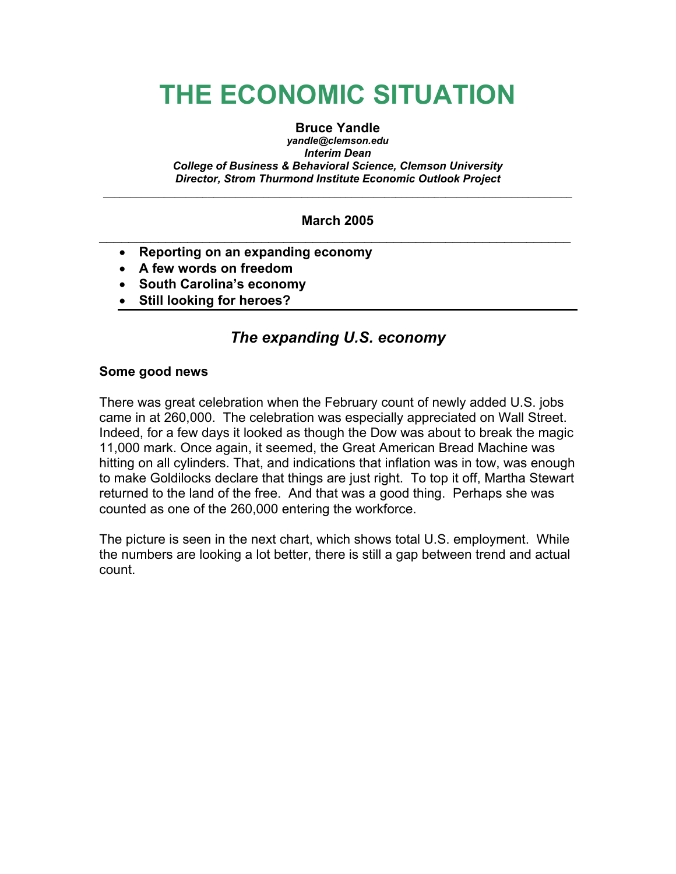# **THE ECONOMIC SITUATION**

#### **Bruce Yandle**

*yandle@clemson.edu Interim Dean College of Business & Behavioral Science, Clemson University Director, Strom Thurmond Institute Economic Outlook Project* 

#### **March 2005**  \_\_\_\_\_\_\_\_\_\_\_\_\_\_\_\_\_\_\_\_\_\_\_\_\_\_\_\_\_\_\_\_\_\_\_\_\_\_\_\_\_\_\_\_\_\_\_\_\_\_\_\_\_\_\_\_\_\_\_\_\_\_\_\_

 $\overline{\phantom{a}}$  ,  $\overline{\phantom{a}}$  ,  $\overline{\phantom{a}}$  ,  $\overline{\phantom{a}}$  ,  $\overline{\phantom{a}}$  ,  $\overline{\phantom{a}}$  ,  $\overline{\phantom{a}}$  ,  $\overline{\phantom{a}}$  ,  $\overline{\phantom{a}}$  ,  $\overline{\phantom{a}}$  ,  $\overline{\phantom{a}}$  ,  $\overline{\phantom{a}}$  ,  $\overline{\phantom{a}}$  ,  $\overline{\phantom{a}}$  ,  $\overline{\phantom{a}}$  ,  $\overline{\phantom{a}}$ 

- **Reporting on an expanding economy**
- **A few words on freedom**
- **South Carolina's economy**
- **Still looking for heroes?**

# *The expanding U.S. economy*

#### **Some good news**

There was great celebration when the February count of newly added U.S. jobs came in at 260,000. The celebration was especially appreciated on Wall Street. Indeed, for a few days it looked as though the Dow was about to break the magic 11,000 mark. Once again, it seemed, the Great American Bread Machine was hitting on all cylinders. That, and indications that inflation was in tow, was enough to make Goldilocks declare that things are just right. To top it off, Martha Stewart returned to the land of the free. And that was a good thing. Perhaps she was counted as one of the 260,000 entering the workforce.

The picture is seen in the next chart, which shows total U.S. employment. While the numbers are looking a lot better, there is still a gap between trend and actual count.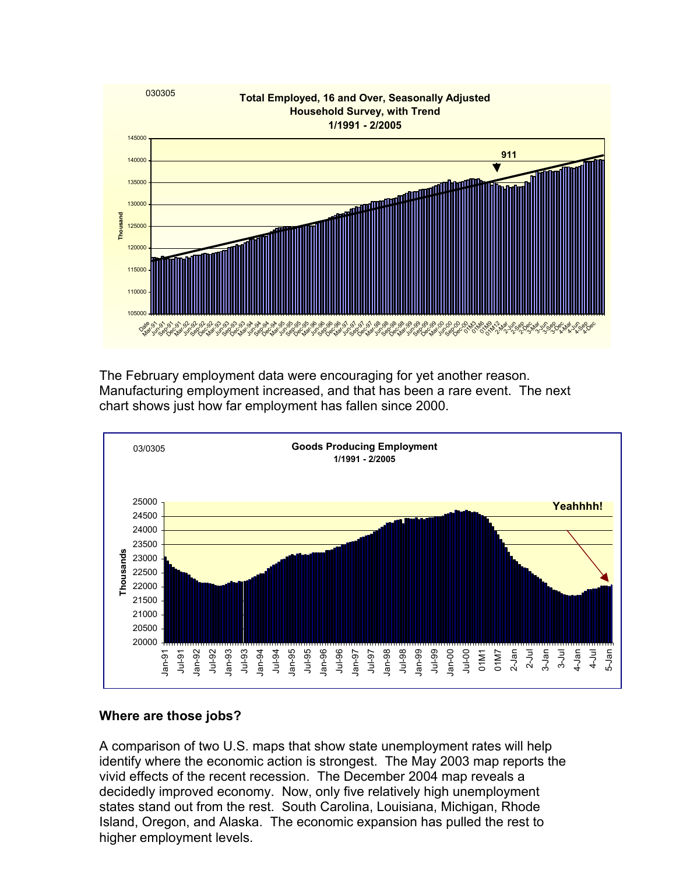

The February employment data were encouraging for yet another reason. Manufacturing employment increased, and that has been a rare event. The next chart shows just how far employment has fallen since 2000.



## **Where are those jobs?**

A comparison of two U.S. maps that show state unemployment rates will help identify where the economic action is strongest. The May 2003 map reports the vivid effects of the recent recession. The December 2004 map reveals a decidedly improved economy. Now, only five relatively high unemployment states stand out from the rest. South Carolina, Louisiana, Michigan, Rhode Island, Oregon, and Alaska. The economic expansion has pulled the rest to higher employment levels.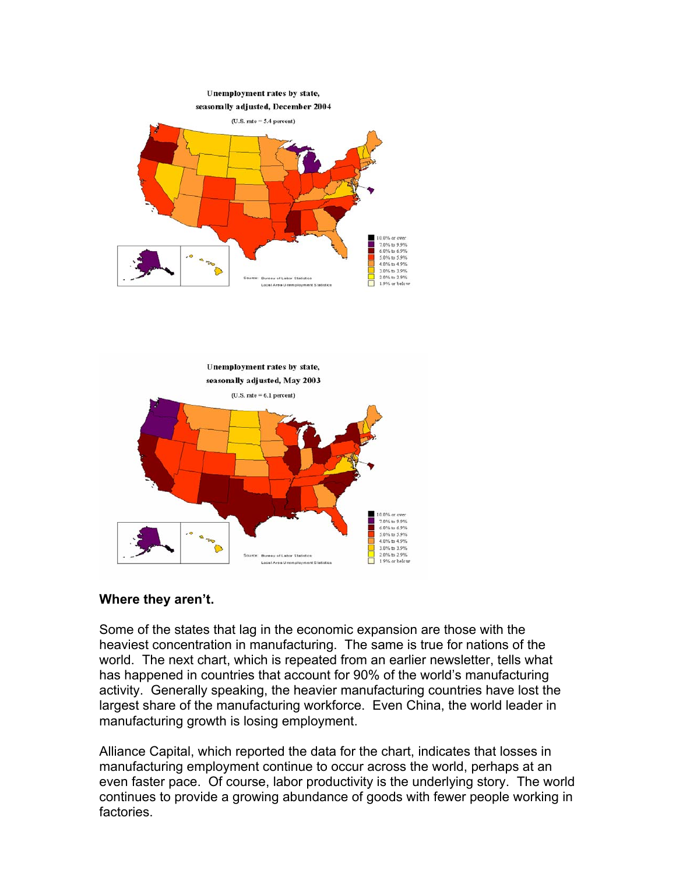



## **Where they aren't.**

Some of the states that lag in the economic expansion are those with the heaviest concentration in manufacturing. The same is true for nations of the world. The next chart, which is repeated from an earlier newsletter, tells what has happened in countries that account for 90% of the world's manufacturing activity. Generally speaking, the heavier manufacturing countries have lost the largest share of the manufacturing workforce. Even China, the world leader in manufacturing growth is losing employment.

Alliance Capital, which reported the data for the chart, indicates that losses in manufacturing employment continue to occur across the world, perhaps at an even faster pace. Of course, labor productivity is the underlying story. The world continues to provide a growing abundance of goods with fewer people working in factories.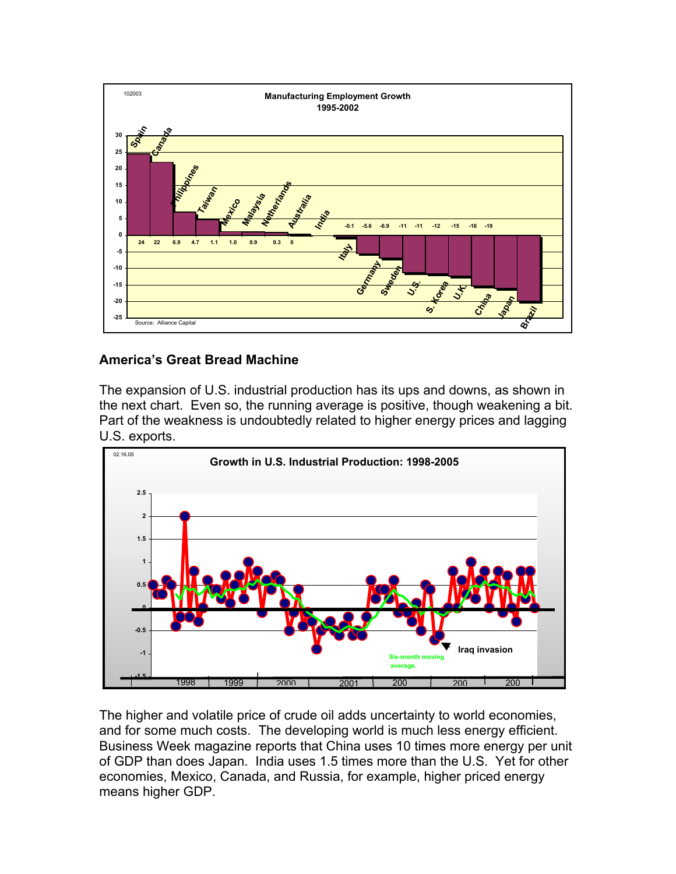

## **America's Great Bread Machine**

The expansion of U.S. industrial production has its ups and downs, as shown in the next chart. Even so, the running average is positive, though weakening a bit. Part of the weakness is undoubtedly related to higher energy prices and lagging U.S. exports.



The higher and volatile price of crude oil adds uncertainty to world economies, and for some much costs. The developing world is much less energy efficient. Business Week magazine reports that China uses 10 times more energy per unit of GDP than does Japan. India uses 1.5 times more than the U.S. Yet for other economies, Mexico, Canada, and Russia, for example, higher priced energy means higher GDP.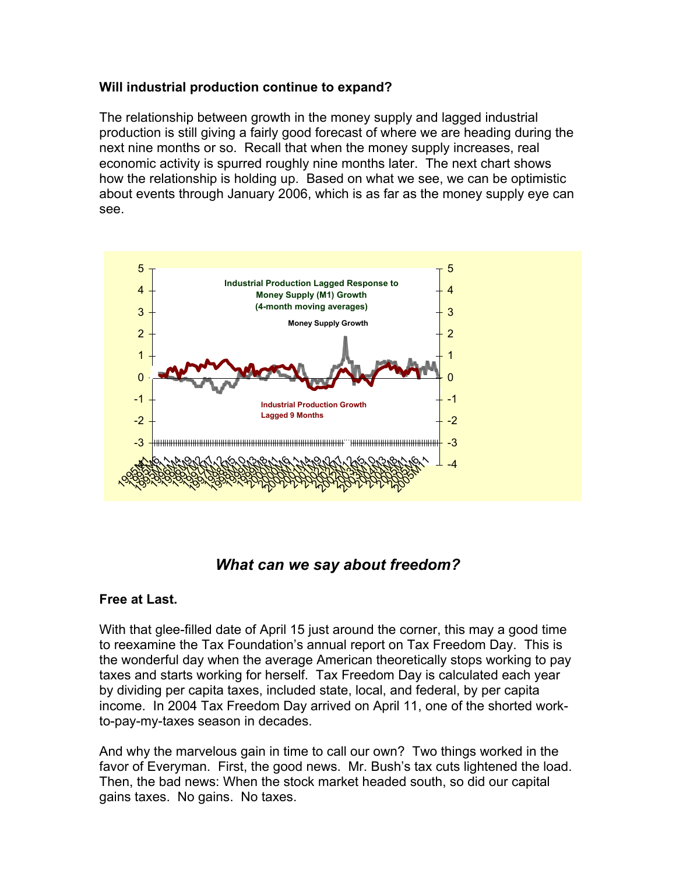### **Will industrial production continue to expand?**

The relationship between growth in the money supply and lagged industrial production is still giving a fairly good forecast of where we are heading during the next nine months or so. Recall that when the money supply increases, real economic activity is spurred roughly nine months later. The next chart shows how the relationship is holding up. Based on what we see, we can be optimistic about events through January 2006, which is as far as the money supply eye can see.



# *What can we say about freedom?*

## **Free at Last.**

With that glee-filled date of April 15 just around the corner, this may a good time to reexamine the Tax Foundation's annual report on Tax Freedom Day. This is the wonderful day when the average American theoretically stops working to pay taxes and starts working for herself. Tax Freedom Day is calculated each year by dividing per capita taxes, included state, local, and federal, by per capita income. In 2004 Tax Freedom Day arrived on April 11, one of the shorted workto-pay-my-taxes season in decades.

And why the marvelous gain in time to call our own? Two things worked in the favor of Everyman. First, the good news. Mr. Bush's tax cuts lightened the load. Then, the bad news: When the stock market headed south, so did our capital gains taxes. No gains. No taxes.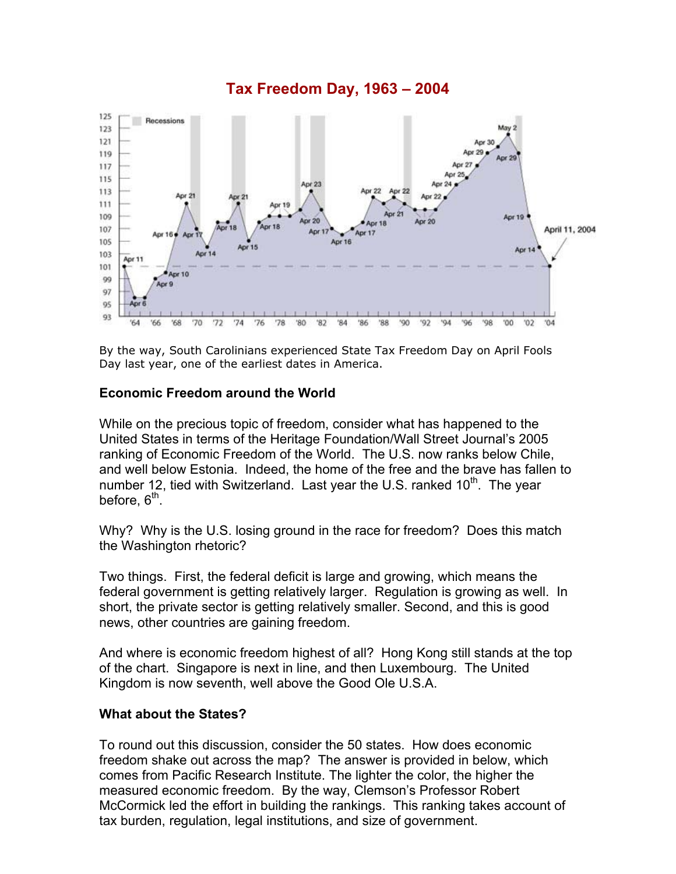

By the way, South Carolinians experienced State Tax Freedom Day on April Fools Day last year, one of the earliest dates in America.

#### **Economic Freedom around the World**

While on the precious topic of freedom, consider what has happened to the United States in terms of the Heritage Foundation/Wall Street Journal's 2005 ranking of Economic Freedom of the World. The U.S. now ranks below Chile, and well below Estonia. Indeed, the home of the free and the brave has fallen to number 12, tied with Switzerland. Last year the U.S. ranked  $10<sup>th</sup>$ . The year before,  $6<sup>th</sup>$ .

Why? Why is the U.S. losing ground in the race for freedom? Does this match the Washington rhetoric?

Two things. First, the federal deficit is large and growing, which means the federal government is getting relatively larger. Regulation is growing as well. In short, the private sector is getting relatively smaller. Second, and this is good news, other countries are gaining freedom.

And where is economic freedom highest of all? Hong Kong still stands at the top of the chart. Singapore is next in line, and then Luxembourg. The United Kingdom is now seventh, well above the Good Ole U.S.A.

#### **What about the States?**

To round out this discussion, consider the 50 states. How does economic freedom shake out across the map? The answer is provided in below, which comes from Pacific Research Institute. The lighter the color, the higher the measured economic freedom. By the way, Clemson's Professor Robert McCormick led the effort in building the rankings. This ranking takes account of tax burden, regulation, legal institutions, and size of government.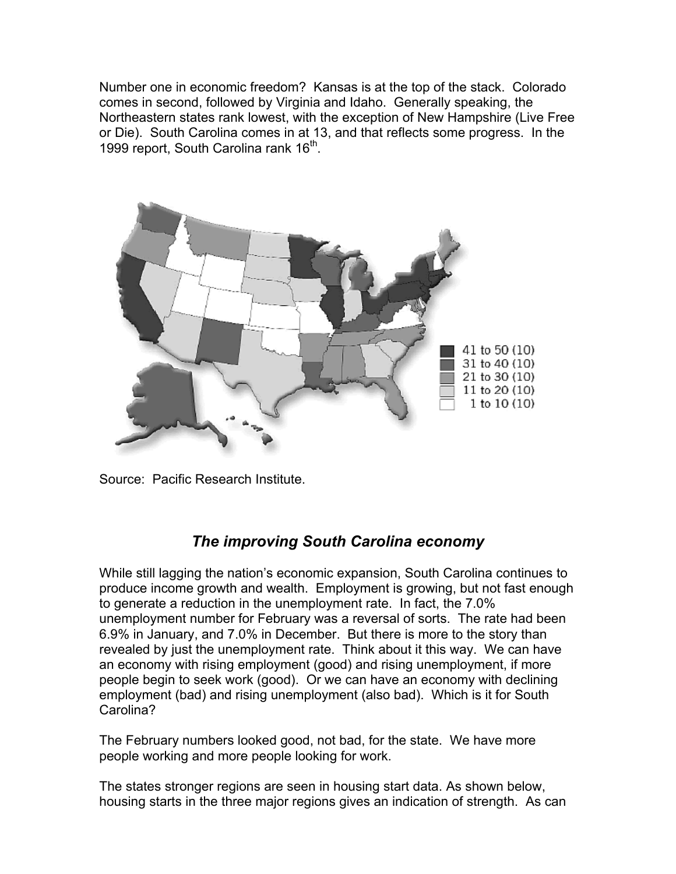Number one in economic freedom? Kansas is at the top of the stack. Colorado comes in second, followed by Virginia and Idaho. Generally speaking, the Northeastern states rank lowest, with the exception of New Hampshire (Live Free or Die). South Carolina comes in at 13, and that reflects some progress. In the 1999 report, South Carolina rank 16<sup>th</sup>.



Source: Pacific Research Institute.

# *The improving South Carolina economy*

While still lagging the nation's economic expansion, South Carolina continues to produce income growth and wealth. Employment is growing, but not fast enough to generate a reduction in the unemployment rate. In fact, the 7.0% unemployment number for February was a reversal of sorts. The rate had been 6.9% in January, and 7.0% in December. But there is more to the story than revealed by just the unemployment rate. Think about it this way. We can have an economy with rising employment (good) and rising unemployment, if more people begin to seek work (good). Or we can have an economy with declining employment (bad) and rising unemployment (also bad). Which is it for South Carolina?

The February numbers looked good, not bad, for the state. We have more people working and more people looking for work.

The states stronger regions are seen in housing start data. As shown below, housing starts in the three major regions gives an indication of strength. As can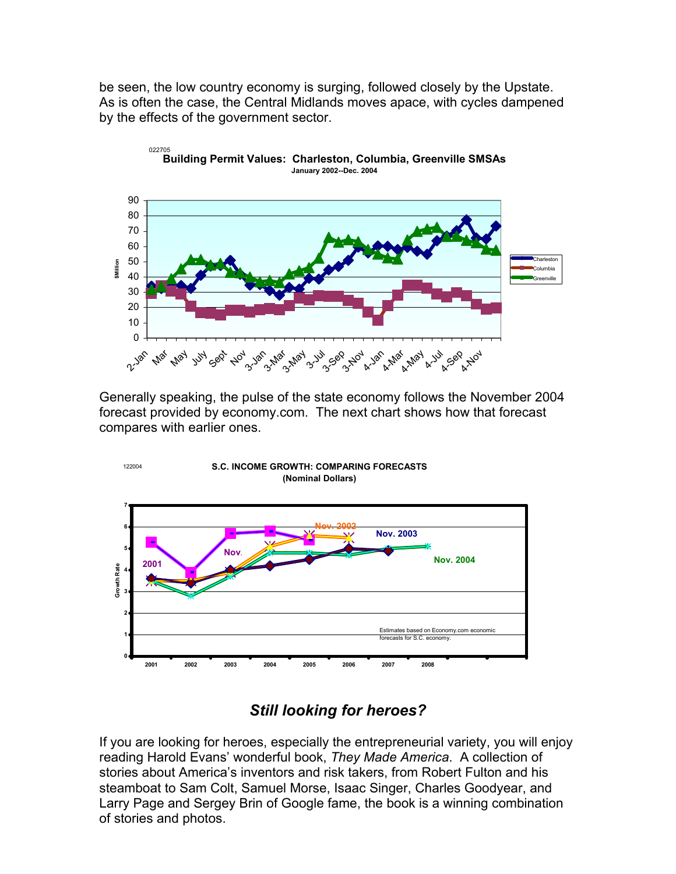be seen, the low country economy is surging, followed closely by the Upstate. As is often the case, the Central Midlands moves apace, with cycles dampened by the effects of the government sector.



Generally speaking, the pulse of the state economy follows the November 2004 forecast provided by economy.com. The next chart shows how that forecast compares with earlier ones.



# *Still looking for heroes?*

If you are looking for heroes, especially the entrepreneurial variety, you will enjoy reading Harold Evans' wonderful book, *They Made America*. A collection of stories about America's inventors and risk takers, from Robert Fulton and his steamboat to Sam Colt, Samuel Morse, Isaac Singer, Charles Goodyear, and Larry Page and Sergey Brin of Google fame, the book is a winning combination of stories and photos.